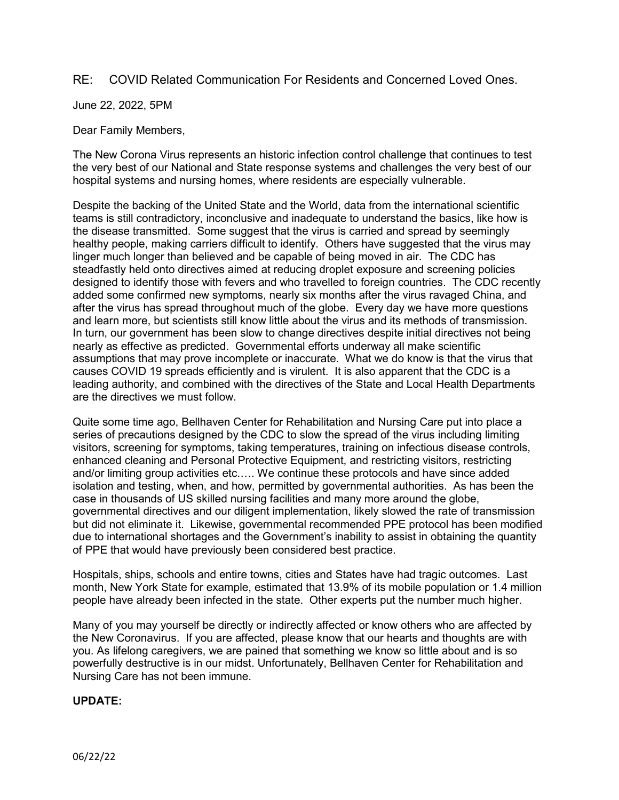## RE: COVID Related Communication For Residents and Concerned Loved Ones.

June 22, 2022, 5PM

Dear Family Members,

The New Corona Virus represents an historic infection control challenge that continues to test the very best of our National and State response systems and challenges the very best of our hospital systems and nursing homes, where residents are especially vulnerable.

Despite the backing of the United State and the World, data from the international scientific teams is still contradictory, inconclusive and inadequate to understand the basics, like how is the disease transmitted. Some suggest that the virus is carried and spread by seemingly healthy people, making carriers difficult to identify. Others have suggested that the virus may linger much longer than believed and be capable of being moved in air. The CDC has steadfastly held onto directives aimed at reducing droplet exposure and screening policies designed to identify those with fevers and who travelled to foreign countries. The CDC recently added some confirmed new symptoms, nearly six months after the virus ravaged China, and after the virus has spread throughout much of the globe. Every day we have more questions and learn more, but scientists still know little about the virus and its methods of transmission. In turn, our government has been slow to change directives despite initial directives not being nearly as effective as predicted. Governmental efforts underway all make scientific assumptions that may prove incomplete or inaccurate. What we do know is that the virus that causes COVID 19 spreads efficiently and is virulent. It is also apparent that the CDC is a leading authority, and combined with the directives of the State and Local Health Departments are the directives we must follow.

Quite some time ago, Bellhaven Center for Rehabilitation and Nursing Care put into place a series of precautions designed by the CDC to slow the spread of the virus including limiting visitors, screening for symptoms, taking temperatures, training on infectious disease controls, enhanced cleaning and Personal Protective Equipment, and restricting visitors, restricting and/or limiting group activities etc.…. We continue these protocols and have since added isolation and testing, when, and how, permitted by governmental authorities. As has been the case in thousands of US skilled nursing facilities and many more around the globe, governmental directives and our diligent implementation, likely slowed the rate of transmission but did not eliminate it. Likewise, governmental recommended PPE protocol has been modified due to international shortages and the Government's inability to assist in obtaining the quantity of PPE that would have previously been considered best practice.

Hospitals, ships, schools and entire towns, cities and States have had tragic outcomes. Last month, New York State for example, estimated that 13.9% of its mobile population or 1.4 million people have already been infected in the state. Other experts put the number much higher.

Many of you may yourself be directly or indirectly affected or know others who are affected by the New Coronavirus. If you are affected, please know that our hearts and thoughts are with you. As lifelong caregivers, we are pained that something we know so little about and is so powerfully destructive is in our midst. Unfortunately, Bellhaven Center for Rehabilitation and Nursing Care has not been immune.

## **UPDATE:**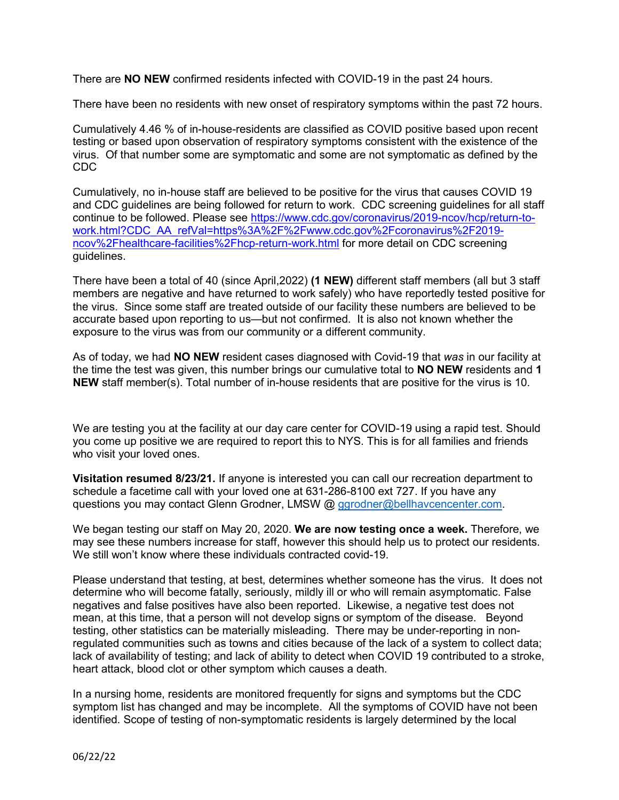There are **NO NEW** confirmed residents infected with COVID-19 in the past 24 hours.

There have been no residents with new onset of respiratory symptoms within the past 72 hours.

Cumulatively 4.46 % of in-house-residents are classified as COVID positive based upon recent testing or based upon observation of respiratory symptoms consistent with the existence of the virus. Of that number some are symptomatic and some are not symptomatic as defined by the CDC

Cumulatively, no in-house staff are believed to be positive for the virus that causes COVID 19 and CDC guidelines are being followed for return to work. CDC screening guidelines for all staff continue to be followed. Please see [https://www.cdc.gov/coronavirus/2019-ncov/hcp/return-to](https://www.cdc.gov/coronavirus/2019-ncov/hcp/return-to-work.html?CDC_AA_refVal=https%3A%2F%2Fwww.cdc.gov%2Fcoronavirus%2F2019-ncov%2Fhealthcare-facilities%2Fhcp-return-work.html)[work.html?CDC\\_AA\\_refVal=https%3A%2F%2Fwww.cdc.gov%2Fcoronavirus%2F2019](https://www.cdc.gov/coronavirus/2019-ncov/hcp/return-to-work.html?CDC_AA_refVal=https%3A%2F%2Fwww.cdc.gov%2Fcoronavirus%2F2019-ncov%2Fhealthcare-facilities%2Fhcp-return-work.html) [ncov%2Fhealthcare-facilities%2Fhcp-return-work.html](https://www.cdc.gov/coronavirus/2019-ncov/hcp/return-to-work.html?CDC_AA_refVal=https%3A%2F%2Fwww.cdc.gov%2Fcoronavirus%2F2019-ncov%2Fhealthcare-facilities%2Fhcp-return-work.html) for more detail on CDC screening guidelines.

There have been a total of 40 (since April,2022) **(1 NEW)** different staff members (all but 3 staff members are negative and have returned to work safely) who have reportedly tested positive for the virus. Since some staff are treated outside of our facility these numbers are believed to be accurate based upon reporting to us—but not confirmed. It is also not known whether the exposure to the virus was from our community or a different community.

As of today, we had **NO NEW** resident cases diagnosed with Covid-19 that *was* in our facility at the time the test was given, this number brings our cumulative total to **NO NEW** residents and **1 NEW** staff member(s). Total number of in-house residents that are positive for the virus is 10.

We are testing you at the facility at our day care center for COVID-19 using a rapid test. Should you come up positive we are required to report this to NYS. This is for all families and friends who visit your loved ones.

**Visitation resumed 8/23/21.** If anyone is interested you can call our recreation department to schedule a facetime call with your loved one at 631-286-8100 ext 727. If you have any questions you may contact Glenn Grodner, LMSW @ [ggrodner@bellhavcencenter.com.](mailto:ggrodner@bellhavcencenter.com)

We began testing our staff on May 20, 2020. **We are now testing once a week.** Therefore, we may see these numbers increase for staff, however this should help us to protect our residents. We still won't know where these individuals contracted covid-19.

Please understand that testing, at best, determines whether someone has the virus. It does not determine who will become fatally, seriously, mildly ill or who will remain asymptomatic. False negatives and false positives have also been reported. Likewise, a negative test does not mean, at this time, that a person will not develop signs or symptom of the disease. Beyond testing, other statistics can be materially misleading. There may be under-reporting in nonregulated communities such as towns and cities because of the lack of a system to collect data; lack of availability of testing; and lack of ability to detect when COVID 19 contributed to a stroke, heart attack, blood clot or other symptom which causes a death.

In a nursing home, residents are monitored frequently for signs and symptoms but the CDC symptom list has changed and may be incomplete. All the symptoms of COVID have not been identified. Scope of testing of non-symptomatic residents is largely determined by the local